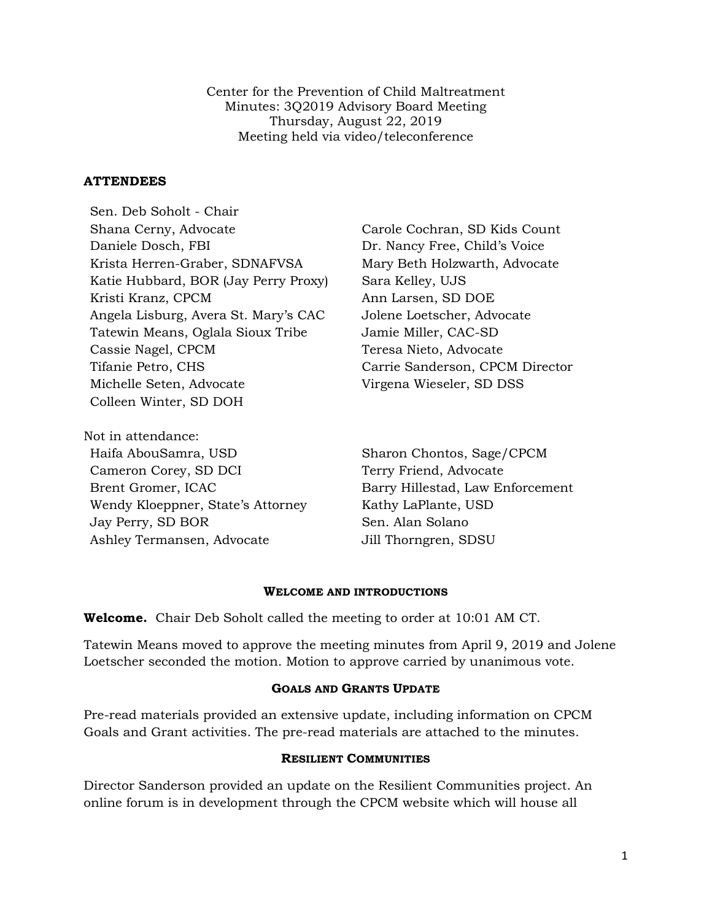Center for the Prevention of Child Maltreatment Minutes: 3Q2019 Advisory Board Meeting Thursday, August 22, 2019 Meeting held via video/teleconference

### **ATTENDEES**

Sen. Deb Soholt - Chair Shana Cerny, Advocate Carole Cochran, SD Kids Count Daniele Dosch, FBI Dr. Nancy Free, Child's Voice Krista Herren-Graber, SDNAFVSA Mary Beth Holzwarth, Advocate Katie Hubbard, BOR (Jay Perry Proxy) Sara Kelley, UJS Kristi Kranz, CPCM Ann Larsen, SD DOE Angela Lisburg, Avera St. Mary's CAC Jolene Loetscher, Advocate Tatewin Means, Oglala Sioux Tribe Jamie Miller, CAC-SD Cassie Nagel, CPCM Teresa Nieto, Advocate Tifanie Petro, CHS Carrie Sanderson, CPCM Director Michelle Seten, Advocate Virgena Wieseler, SD DSS Colleen Winter, SD DOH

Not in attendance: Haifa AbouSamra, USD Sharon Chontos, Sage/CPCM Cameron Corey, SD DCI Terry Friend, Advocate Brent Gromer, ICAC Barry Hillestad, Law Enforcement Wendy Kloeppner, State's Attorney Kathy LaPlante, USD Jay Perry, SD BOR Sen. Alan Solano Ashley Termansen, Advocate Jill Thorngren, SDSU

#### **WELCOME AND INTRODUCTIONS**

**Welcome.** Chair Deb Soholt called the meeting to order at 10:01 AM CT.

Tatewin Means moved to approve the meeting minutes from April 9, 2019 and Jolene Loetscher seconded the motion. Motion to approve carried by unanimous vote.

#### **GOALS AND GRANTS UPDATE**

Pre-read materials provided an extensive update, including information on CPCM Goals and Grant activities. The pre-read materials are attached to the minutes.

#### **RESILIENT COMMUNITIES**

Director Sanderson provided an update on the Resilient Communities project. An online forum is in development through the CPCM website which will house all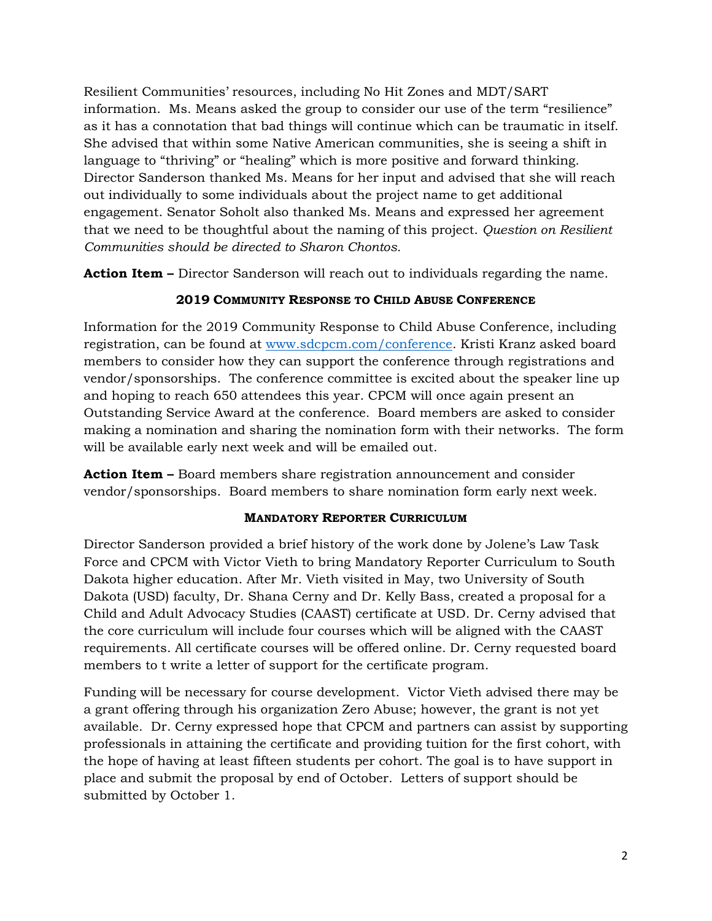Resilient Communities' resources, including No Hit Zones and MDT/SART information. Ms. Means asked the group to consider our use of the term "resilience" as it has a connotation that bad things will continue which can be traumatic in itself. She advised that within some Native American communities, she is seeing a shift in language to "thriving" or "healing" which is more positive and forward thinking. Director Sanderson thanked Ms. Means for her input and advised that she will reach out individually to some individuals about the project name to get additional engagement. Senator Soholt also thanked Ms. Means and expressed her agreement that we need to be thoughtful about the naming of this project. *Question on Resilient Communities should be directed to Sharon Chontos.*

**Action Item –** Director Sanderson will reach out to individuals regarding the name.

# **2019 COMMUNITY RESPONSE TO CHILD ABUSE CONFERENCE**

Information for the 2019 Community Response to Child Abuse Conference, including registration, can be found at [www.sdcpcm.com/conference.](http://www.sdcpcm.com/conference) Kristi Kranz asked board members to consider how they can support the conference through registrations and vendor/sponsorships. The conference committee is excited about the speaker line up and hoping to reach 650 attendees this year. CPCM will once again present an Outstanding Service Award at the conference. Board members are asked to consider making a nomination and sharing the nomination form with their networks. The form will be available early next week and will be emailed out.

**Action Item –** Board members share registration announcement and consider vendor/sponsorships. Board members to share nomination form early next week.

### **MANDATORY REPORTER CURRICULUM**

Director Sanderson provided a brief history of the work done by Jolene's Law Task Force and CPCM with Victor Vieth to bring Mandatory Reporter Curriculum to South Dakota higher education. After Mr. Vieth visited in May, two University of South Dakota (USD) faculty, Dr. Shana Cerny and Dr. Kelly Bass, created a proposal for a Child and Adult Advocacy Studies (CAAST) certificate at USD. Dr. Cerny advised that the core curriculum will include four courses which will be aligned with the CAAST requirements. All certificate courses will be offered online. Dr. Cerny requested board members to t write a letter of support for the certificate program.

Funding will be necessary for course development. Victor Vieth advised there may be a grant offering through his organization Zero Abuse; however, the grant is not yet available. Dr. Cerny expressed hope that CPCM and partners can assist by supporting professionals in attaining the certificate and providing tuition for the first cohort, with the hope of having at least fifteen students per cohort. The goal is to have support in place and submit the proposal by end of October. Letters of support should be submitted by October 1.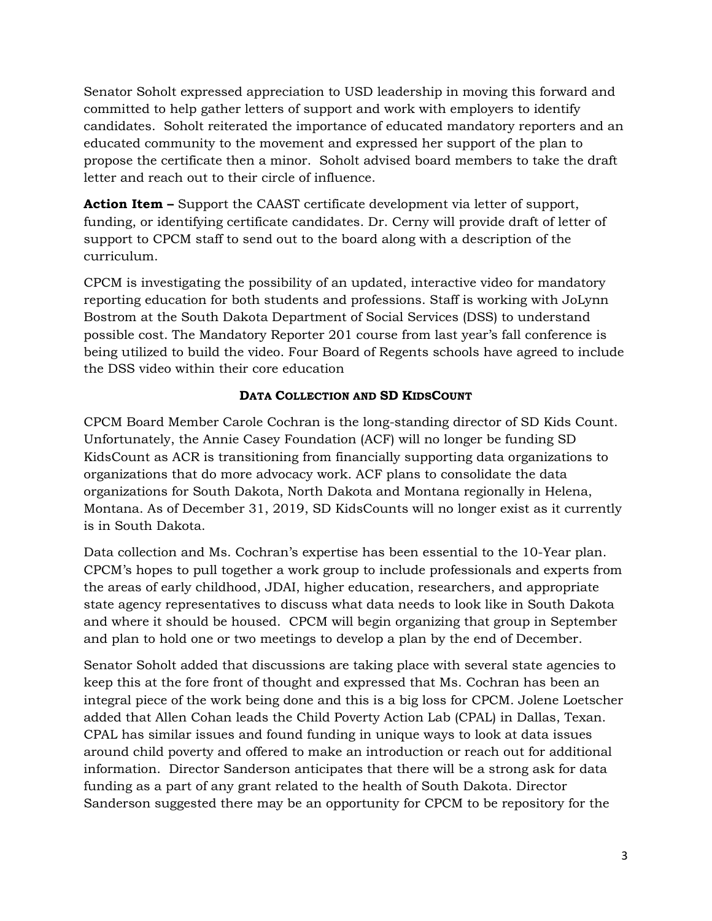Senator Soholt expressed appreciation to USD leadership in moving this forward and committed to help gather letters of support and work with employers to identify candidates. Soholt reiterated the importance of educated mandatory reporters and an educated community to the movement and expressed her support of the plan to propose the certificate then a minor. Soholt advised board members to take the draft letter and reach out to their circle of influence.

**Action Item –** Support the CAAST certificate development via letter of support, funding, or identifying certificate candidates. Dr. Cerny will provide draft of letter of support to CPCM staff to send out to the board along with a description of the curriculum.

CPCM is investigating the possibility of an updated, interactive video for mandatory reporting education for both students and professions. Staff is working with JoLynn Bostrom at the South Dakota Department of Social Services (DSS) to understand possible cost. The Mandatory Reporter 201 course from last year's fall conference is being utilized to build the video. Four Board of Regents schools have agreed to include the DSS video within their core education

# **DATA COLLECTION AND SD KIDSCOUNT**

CPCM Board Member Carole Cochran is the long-standing director of SD Kids Count. Unfortunately, the Annie Casey Foundation (ACF) will no longer be funding SD KidsCount as ACR is transitioning from financially supporting data organizations to organizations that do more advocacy work. ACF plans to consolidate the data organizations for South Dakota, North Dakota and Montana regionally in Helena, Montana. As of December 31, 2019, SD KidsCounts will no longer exist as it currently is in South Dakota.

Data collection and Ms. Cochran's expertise has been essential to the 10-Year plan. CPCM's hopes to pull together a work group to include professionals and experts from the areas of early childhood, JDAI, higher education, researchers, and appropriate state agency representatives to discuss what data needs to look like in South Dakota and where it should be housed. CPCM will begin organizing that group in September and plan to hold one or two meetings to develop a plan by the end of December.

Senator Soholt added that discussions are taking place with several state agencies to keep this at the fore front of thought and expressed that Ms. Cochran has been an integral piece of the work being done and this is a big loss for CPCM. Jolene Loetscher added that Allen Cohan leads the Child Poverty Action Lab (CPAL) in Dallas, Texan. CPAL has similar issues and found funding in unique ways to look at data issues around child poverty and offered to make an introduction or reach out for additional information. Director Sanderson anticipates that there will be a strong ask for data funding as a part of any grant related to the health of South Dakota. Director Sanderson suggested there may be an opportunity for CPCM to be repository for the